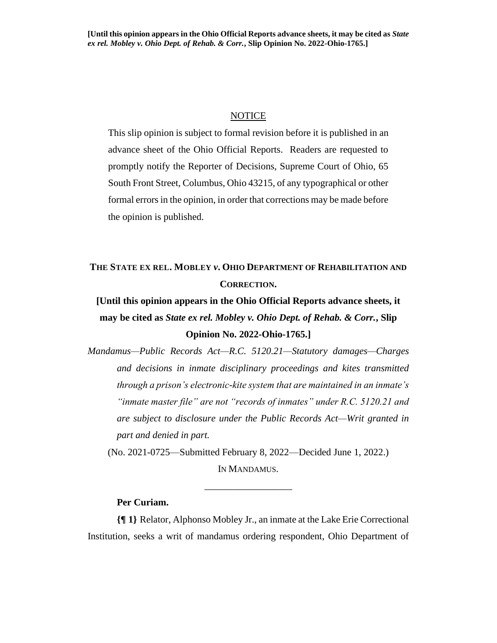#### **NOTICE**

This slip opinion is subject to formal revision before it is published in an advance sheet of the Ohio Official Reports. Readers are requested to promptly notify the Reporter of Decisions, Supreme Court of Ohio, 65 South Front Street, Columbus, Ohio 43215, of any typographical or other formal errors in the opinion, in order that corrections may be made before the opinion is published.

# **THE STATE EX REL. MOBLEY** *v***. OHIO DEPARTMENT OF REHABILITATION AND CORRECTION.**

**[Until this opinion appears in the Ohio Official Reports advance sheets, it may be cited as** *State ex rel. Mobley v. Ohio Dept. of Rehab. & Corr.***, Slip Opinion No. 2022-Ohio-1765.]**

*Mandamus—Public Records Act—R.C. 5120.21—Statutory damages—Charges and decisions in inmate disciplinary proceedings and kites transmitted through a prison's electronic-kite system that are maintained in an inmate's "inmate master file" are not "records of inmates" under R.C. 5120.21 and are subject to disclosure under the Public Records Act—Writ granted in part and denied in part.*

(No. 2021-0725—Submitted February 8, 2022—Decided June 1, 2022.) IN MANDAMUS.

\_\_\_\_\_\_\_\_\_\_\_\_\_\_\_\_\_\_

#### **Per Curiam.**

**{¶ 1}** Relator, Alphonso Mobley Jr., an inmate at the Lake Erie Correctional Institution, seeks a writ of mandamus ordering respondent, Ohio Department of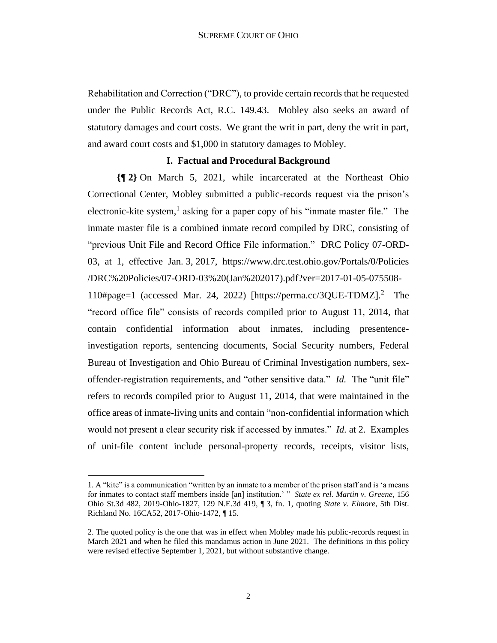Rehabilitation and Correction ("DRC"), to provide certain records that he requested under the Public Records Act, R.C. 149.43. Mobley also seeks an award of statutory damages and court costs. We grant the writ in part, deny the writ in part, and award court costs and \$1,000 in statutory damages to Mobley.

#### **I. Factual and Procedural Background**

**{¶ 2}** On March 5, 2021, while incarcerated at the Northeast Ohio Correctional Center, Mobley submitted a public-records request via the prison's electronic-kite system,<sup>1</sup> asking for a paper copy of his "inmate master file." The inmate master file is a combined inmate record compiled by DRC, consisting of "previous Unit File and Record Office File information." DRC Policy 07-ORD-03, at 1, effective Jan. 3, 2017, https://www.drc.test.ohio.gov/Portals/0/Policies /DRC%20Policies/07-ORD-03%20(Jan%202017).pdf?ver=2017-01-05-075508- 110#page=1 (accessed Mar. 24, 2022) [https://perma.cc/3QUE-TDMZ].<sup>2</sup> The "record office file" consists of records compiled prior to August 11, 2014, that contain confidential information about inmates, including presentenceinvestigation reports, sentencing documents, Social Security numbers, Federal Bureau of Investigation and Ohio Bureau of Criminal Investigation numbers, sexoffender-registration requirements, and "other sensitive data." *Id.* The "unit file" refers to records compiled prior to August 11, 2014, that were maintained in the office areas of inmate-living units and contain "non-confidential information which would not present a clear security risk if accessed by inmates." *Id.* at 2. Examples of unit-file content include personal-property records, receipts, visitor lists,

<sup>1.</sup> A "kite" is a communication "written by an inmate to a member of the prison staff and is 'a means for inmates to contact staff members inside [an] institution.' " *State ex rel. Martin v. Greene*, 156 Ohio St.3d 482, 2019-Ohio-1827, 129 N.E.3d 419, ¶ 3, fn. 1, quoting *State v. Elmore*, 5th Dist. Richland No. 16CA52, 2017-Ohio-1472, ¶ 15.

<sup>2.</sup> The quoted policy is the one that was in effect when Mobley made his public-records request in March 2021 and when he filed this mandamus action in June 2021. The definitions in this policy were revised effective September 1, 2021, but without substantive change.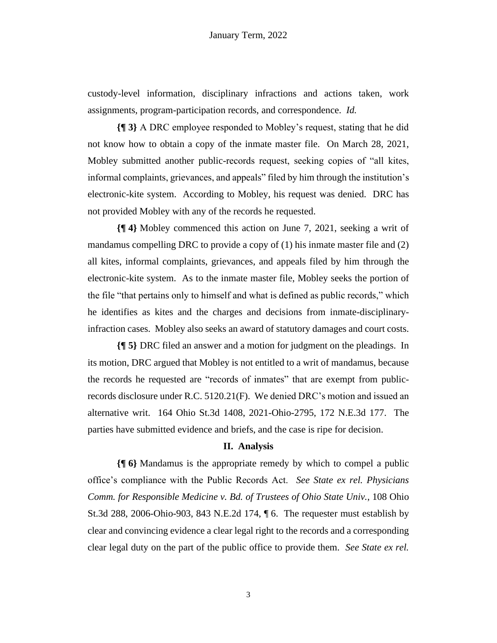custody-level information, disciplinary infractions and actions taken, work assignments, program-participation records, and correspondence. *Id.*

**{¶ 3}** A DRC employee responded to Mobley's request, stating that he did not know how to obtain a copy of the inmate master file. On March 28, 2021, Mobley submitted another public-records request, seeking copies of "all kites, informal complaints, grievances, and appeals" filed by him through the institution's electronic-kite system. According to Mobley, his request was denied. DRC has not provided Mobley with any of the records he requested.

**{¶ 4}** Mobley commenced this action on June 7, 2021, seeking a writ of mandamus compelling DRC to provide a copy of (1) his inmate master file and (2) all kites, informal complaints, grievances, and appeals filed by him through the electronic-kite system. As to the inmate master file, Mobley seeks the portion of the file "that pertains only to himself and what is defined as public records," which he identifies as kites and the charges and decisions from inmate-disciplinaryinfraction cases. Mobley also seeks an award of statutory damages and court costs.

**{¶ 5}** DRC filed an answer and a motion for judgment on the pleadings. In its motion, DRC argued that Mobley is not entitled to a writ of mandamus, because the records he requested are "records of inmates" that are exempt from publicrecords disclosure under R.C. 5120.21(F). We denied DRC's motion and issued an alternative writ. 164 Ohio St.3d 1408, 2021-Ohio-2795, 172 N.E.3d 177. The parties have submitted evidence and briefs, and the case is ripe for decision.

### **II. Analysis**

**{¶ 6}** Mandamus is the appropriate remedy by which to compel a public office's compliance with the Public Records Act. *See State ex rel. Physicians Comm. for Responsible Medicine v. Bd. of Trustees of Ohio State Univ.*, 108 Ohio St.3d 288, 2006-Ohio-903, 843 N.E.2d 174, ¶ 6. The requester must establish by clear and convincing evidence a clear legal right to the records and a corresponding clear legal duty on the part of the public office to provide them. *See State ex rel.*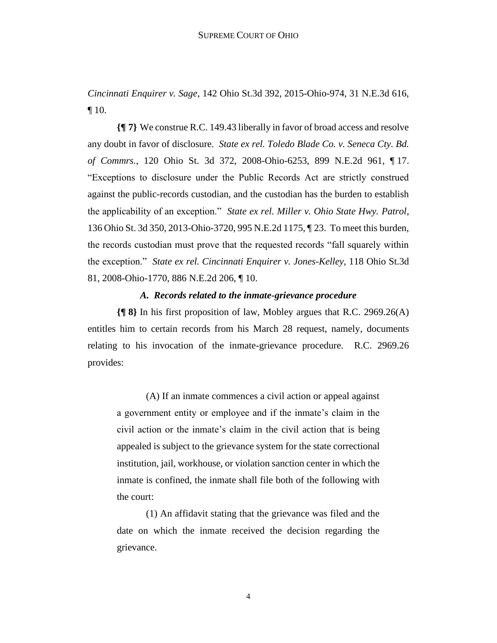*Cincinnati Enquirer v. Sage*, 142 Ohio St.3d 392, 2015-Ohio-974, 31 N.E.3d 616, ¶ 10.

**{¶ 7}** We construe R.C. 149.43 liberally in favor of broad access and resolve any doubt in favor of disclosure. *State ex rel. Toledo Blade Co. v. Seneca Cty. Bd. of Commrs.*, 120 Ohio St. 3d 372, 2008-Ohio-6253, 899 N.E.2d 961, ¶ 17. "Exceptions to disclosure under the Public Records Act are strictly construed against the public-records custodian, and the custodian has the burden to establish the applicability of an exception." *State ex rel. Miller v. Ohio State Hwy. Patrol*, 136 Ohio St. 3d 350, 2013-Ohio-3720, 995 N.E.2d 1175, ¶ 23. To meet this burden, the records custodian must prove that the requested records "fall squarely within the exception." *State ex rel. Cincinnati Enquirer v. Jones-Kelley*, 118 Ohio St.3d 81, 2008-Ohio-1770, 886 N.E.2d 206, ¶ 10.

#### *A. Records related to the inmate-grievance procedure*

**{¶ 8}** In his first proposition of law, Mobley argues that R.C. 2969.26(A) entitles him to certain records from his March 28 request, namely, documents relating to his invocation of the inmate-grievance procedure. R.C. 2969.26 provides:

(A) If an inmate commences a civil action or appeal against a government entity or employee and if the inmate's claim in the civil action or the inmate's claim in the civil action that is being appealed is subject to the grievance system for the state correctional institution, jail, workhouse, or violation sanction center in which the inmate is confined, the inmate shall file both of the following with the court:

(1) An affidavit stating that the grievance was filed and the date on which the inmate received the decision regarding the grievance.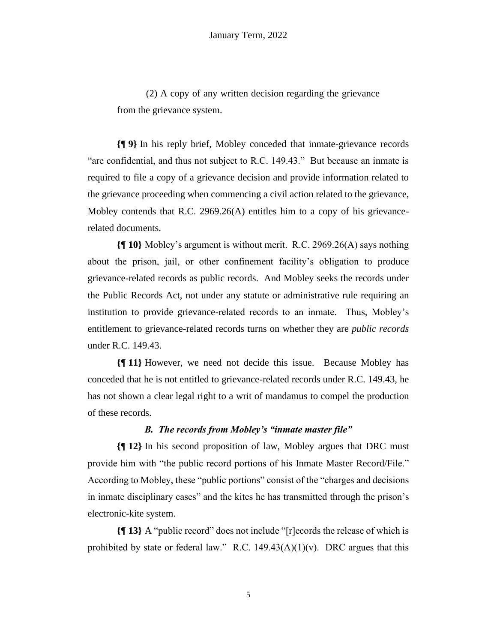(2) A copy of any written decision regarding the grievance from the grievance system.

**{¶ 9}** In his reply brief, Mobley conceded that inmate-grievance records "are confidential, and thus not subject to R.C. 149.43." But because an inmate is required to file a copy of a grievance decision and provide information related to the grievance proceeding when commencing a civil action related to the grievance, Mobley contends that R.C. 2969.26(A) entitles him to a copy of his grievancerelated documents.

**{¶ 10}** Mobley's argument is without merit. R.C. 2969.26(A) says nothing about the prison, jail, or other confinement facility's obligation to produce grievance-related records as public records. And Mobley seeks the records under the Public Records Act, not under any statute or administrative rule requiring an institution to provide grievance-related records to an inmate. Thus, Mobley's entitlement to grievance-related records turns on whether they are *public records*  under R.C. 149.43.

**{¶ 11}** However, we need not decide this issue. Because Mobley has conceded that he is not entitled to grievance-related records under R.C. 149.43, he has not shown a clear legal right to a writ of mandamus to compel the production of these records.

# *B. The records from Mobley's "inmate master file"*

**{¶ 12}** In his second proposition of law, Mobley argues that DRC must provide him with "the public record portions of his Inmate Master Record/File." According to Mobley, these "public portions" consist of the "charges and decisions in inmate disciplinary cases" and the kites he has transmitted through the prison's electronic-kite system.

**{¶ 13}** A "public record" does not include "[r]ecords the release of which is prohibited by state or federal law." R.C.  $149.43(A)(1)(v)$ . DRC argues that this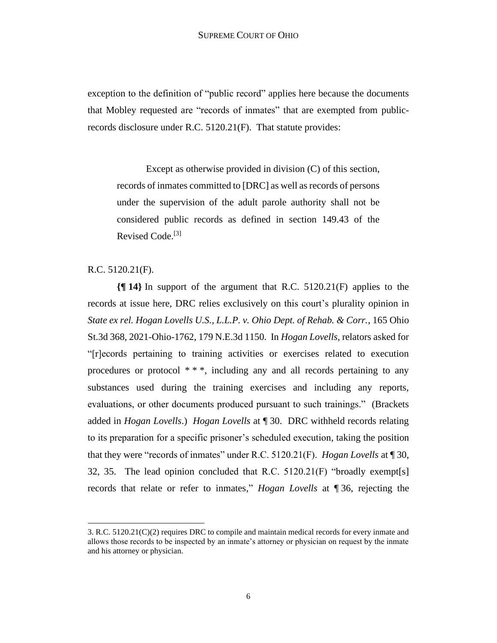exception to the definition of "public record" applies here because the documents that Mobley requested are "records of inmates" that are exempted from publicrecords disclosure under R.C. 5120.21(F). That statute provides:

Except as otherwise provided in division (C) of this section, records of inmates committed to [DRC] as well as records of persons under the supervision of the adult parole authority shall not be considered public records as defined in section 149.43 of the Revised Code.[3]

# R.C. 5120.21(F).

**{¶ 14}** In support of the argument that R.C. 5120.21(F) applies to the records at issue here, DRC relies exclusively on this court's plurality opinion in *State ex rel. Hogan Lovells U.S., L.L.P. v. Ohio Dept. of Rehab. & Corr.*, 165 Ohio St.3d 368, 2021-Ohio-1762, 179 N.E.3d 1150. In *Hogan Lovells*, relators asked for "[r]ecords pertaining to training activities or exercises related to execution procedures or protocol  $***$ , including any and all records pertaining to any substances used during the training exercises and including any reports, evaluations, or other documents produced pursuant to such trainings." (Brackets added in *Hogan Lovells*.) *Hogan Lovells* at ¶ 30. DRC withheld records relating to its preparation for a specific prisoner's scheduled execution, taking the position that they were "records of inmates" under R.C. 5120.21(F). *Hogan Lovells* at ¶ 30, 32, 35. The lead opinion concluded that R.C. 5120.21(F) "broadly exempt[s] records that relate or refer to inmates," *Hogan Lovells* at ¶ 36, rejecting the

<sup>3.</sup> R.C. 5120.21(C)(2) requires DRC to compile and maintain medical records for every inmate and allows those records to be inspected by an inmate's attorney or physician on request by the inmate and his attorney or physician.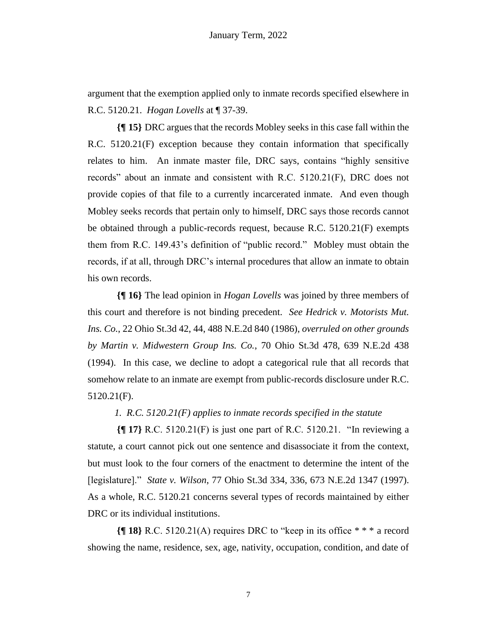argument that the exemption applied only to inmate records specified elsewhere in R.C. 5120.21. *Hogan Lovells* at ¶ 37-39.

**{¶ 15}** DRC argues that the records Mobley seeks in this case fall within the R.C. 5120.21(F) exception because they contain information that specifically relates to him. An inmate master file, DRC says, contains "highly sensitive records" about an inmate and consistent with R.C. 5120.21(F), DRC does not provide copies of that file to a currently incarcerated inmate. And even though Mobley seeks records that pertain only to himself, DRC says those records cannot be obtained through a public-records request, because R.C. 5120.21(F) exempts them from R.C. 149.43's definition of "public record." Mobley must obtain the records, if at all, through DRC's internal procedures that allow an inmate to obtain his own records.

**{¶ 16}** The lead opinion in *Hogan Lovells* was joined by three members of this court and therefore is not binding precedent. *See Hedrick v. Motorists Mut. Ins. Co.*, 22 Ohio St.3d 42, 44, 488 N.E.2d 840 (1986), *overruled on other grounds by Martin v. Midwestern Group Ins. Co.*, 70 Ohio St.3d 478, 639 N.E.2d 438 (1994). In this case, we decline to adopt a categorical rule that all records that somehow relate to an inmate are exempt from public-records disclosure under R.C. 5120.21(F).

# *1. R.C. 5120.21(F) applies to inmate records specified in the statute*

**{¶ 17}** R.C. 5120.21(F) is just one part of R.C. 5120.21. "In reviewing a statute, a court cannot pick out one sentence and disassociate it from the context, but must look to the four corners of the enactment to determine the intent of the [legislature]." *State v. Wilson*, 77 Ohio St.3d 334, 336, 673 N.E.2d 1347 (1997). As a whole, R.C. 5120.21 concerns several types of records maintained by either DRC or its individual institutions.

**{¶ 18}** R.C. 5120.21(A) requires DRC to "keep in its office \* \* \* a record showing the name, residence, sex, age, nativity, occupation, condition, and date of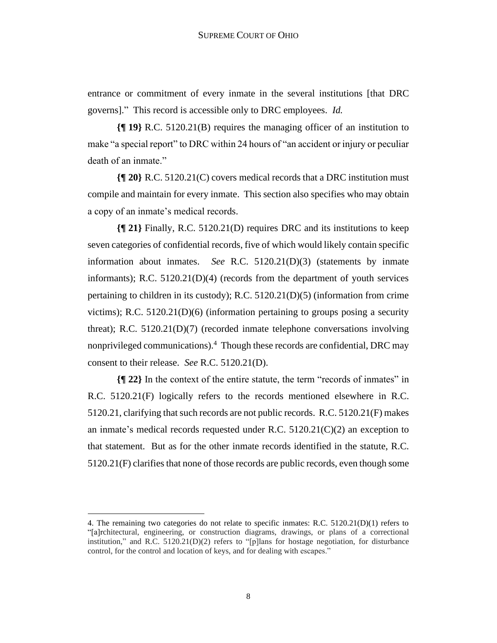entrance or commitment of every inmate in the several institutions [that DRC governs]." This record is accessible only to DRC employees. *Id.*

**{¶ 19}** R.C. 5120.21(B) requires the managing officer of an institution to make "a special report" to DRC within 24 hours of "an accident or injury or peculiar death of an inmate."

**{¶ 20}** R.C. 5120.21(C) covers medical records that a DRC institution must compile and maintain for every inmate. This section also specifies who may obtain a copy of an inmate's medical records.

**{¶ 21}** Finally, R.C. 5120.21(D) requires DRC and its institutions to keep seven categories of confidential records, five of which would likely contain specific information about inmates. *See* R.C. 5120.21(D)(3) (statements by inmate informants); R.C.  $5120.21(D)(4)$  (records from the department of youth services pertaining to children in its custody); R.C. 5120.21(D)(5) (information from crime victims); R.C. 5120.21(D)(6) (information pertaining to groups posing a security threat); R.C. 5120.21(D)(7) (recorded inmate telephone conversations involving nonprivileged communications).<sup>4</sup> Though these records are confidential, DRC may consent to their release. *See* R.C. 5120.21(D).

**{¶ 22}** In the context of the entire statute, the term "records of inmates" in R.C. 5120.21(F) logically refers to the records mentioned elsewhere in R.C. 5120.21, clarifying that such records are not public records. R.C. 5120.21(F) makes an inmate's medical records requested under R.C. 5120.21(C)(2) an exception to that statement. But as for the other inmate records identified in the statute, R.C. 5120.21(F) clarifies that none of those records are public records, even though some

<sup>4.</sup> The remaining two categories do not relate to specific inmates: R.C. 5120.21(D)(1) refers to "[a]rchitectural, engineering, or construction diagrams, drawings, or plans of a correctional institution," and R.C.  $5120.21(D)(2)$  refers to "[p]lans for hostage negotiation, for disturbance control, for the control and location of keys, and for dealing with escapes."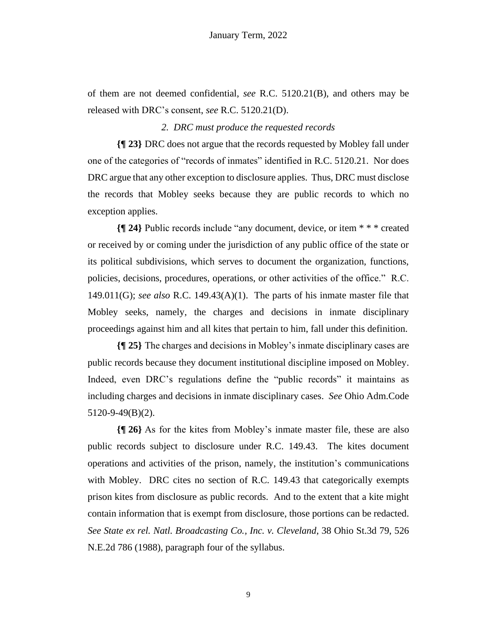of them are not deemed confidential, *see* R.C. 5120.21(B), and others may be released with DRC's consent, *see* R.C. 5120.21(D).

#### *2. DRC must produce the requested records*

**{¶ 23}** DRC does not argue that the records requested by Mobley fall under one of the categories of "records of inmates" identified in R.C. 5120.21. Nor does DRC argue that any other exception to disclosure applies. Thus, DRC must disclose the records that Mobley seeks because they are public records to which no exception applies.

**{¶ 24}** Public records include "any document, device, or item \* \* \* created or received by or coming under the jurisdiction of any public office of the state or its political subdivisions, which serves to document the organization, functions, policies, decisions, procedures, operations, or other activities of the office." R.C. 149.011(G); *see also* R.C. 149.43(A)(1). The parts of his inmate master file that Mobley seeks, namely, the charges and decisions in inmate disciplinary proceedings against him and all kites that pertain to him, fall under this definition.

**{¶ 25}** The charges and decisions in Mobley's inmate disciplinary cases are public records because they document institutional discipline imposed on Mobley. Indeed, even DRC's regulations define the "public records" it maintains as including charges and decisions in inmate disciplinary cases. *See* Ohio Adm.Code 5120-9-49(B)(2).

**{¶ 26}** As for the kites from Mobley's inmate master file, these are also public records subject to disclosure under R.C. 149.43. The kites document operations and activities of the prison, namely, the institution's communications with Mobley. DRC cites no section of R.C. 149.43 that categorically exempts prison kites from disclosure as public records. And to the extent that a kite might contain information that is exempt from disclosure, those portions can be redacted. *See State ex rel. Natl. Broadcasting Co., Inc. v. Cleveland*, 38 Ohio St.3d 79, 526 N.E.2d 786 (1988), paragraph four of the syllabus.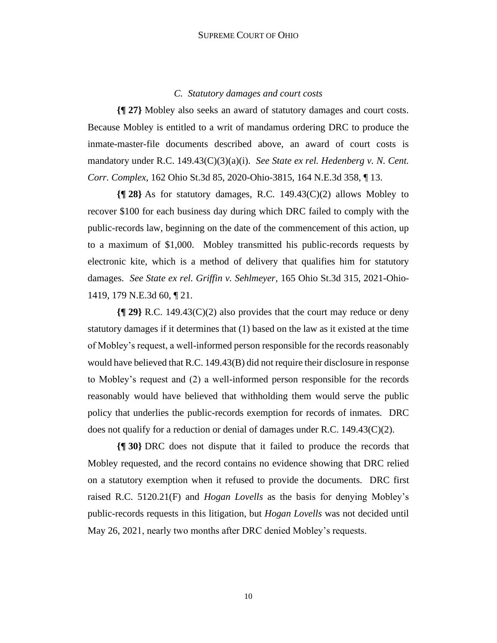# *C. Statutory damages and court costs*

**{¶ 27}** Mobley also seeks an award of statutory damages and court costs. Because Mobley is entitled to a writ of mandamus ordering DRC to produce the inmate-master-file documents described above, an award of court costs is mandatory under R.C. 149.43(C)(3)(a)(i). *See State ex rel. Hedenberg v. N. Cent. Corr. Complex*, 162 Ohio St.3d 85, 2020-Ohio-3815, 164 N.E.3d 358, ¶ 13.

**{¶ 28}** As for statutory damages, R.C. 149.43(C)(2) allows Mobley to recover \$100 for each business day during which DRC failed to comply with the public-records law, beginning on the date of the commencement of this action, up to a maximum of \$1,000. Mobley transmitted his public-records requests by electronic kite, which is a method of delivery that qualifies him for statutory damages. *See State ex rel. Griffin v. Sehlmeyer*, 165 Ohio St.3d 315, 2021-Ohio-1419, 179 N.E.3d 60, ¶ 21.

**{¶ 29}** R.C. 149.43(C)(2) also provides that the court may reduce or deny statutory damages if it determines that (1) based on the law as it existed at the time of Mobley's request, a well-informed person responsible for the records reasonably would have believed that R.C. 149.43(B) did not require their disclosure in response to Mobley's request and (2) a well-informed person responsible for the records reasonably would have believed that withholding them would serve the public policy that underlies the public-records exemption for records of inmates*.* DRC does not qualify for a reduction or denial of damages under R.C.  $149.43(C)(2)$ .

**{¶ 30}** DRC does not dispute that it failed to produce the records that Mobley requested, and the record contains no evidence showing that DRC relied on a statutory exemption when it refused to provide the documents. DRC first raised R.C. 5120.21(F) and *Hogan Lovells* as the basis for denying Mobley's public-records requests in this litigation, but *Hogan Lovells* was not decided until May 26, 2021, nearly two months after DRC denied Mobley's requests.